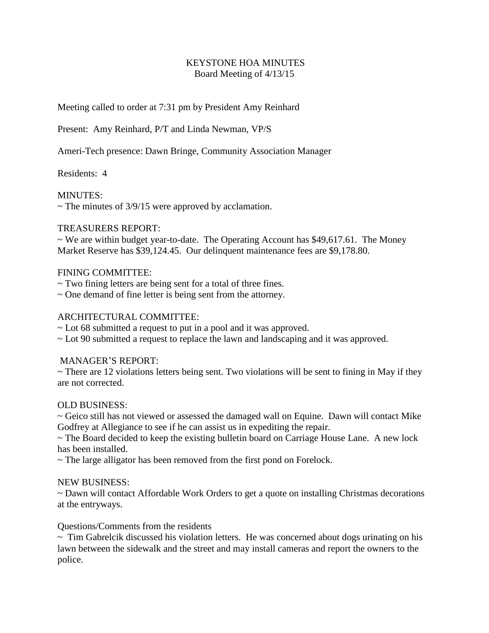# KEYSTONE HOA MINUTES Board Meeting of 4/13/15

Meeting called to order at 7:31 pm by President Amy Reinhard

Present: Amy Reinhard, P/T and Linda Newman, VP/S

Ameri-Tech presence: Dawn Bringe, Community Association Manager

Residents: 4

## MINUTES:

 $\sim$  The minutes of 3/9/15 were approved by acclamation.

## TREASURERS REPORT:

 $\sim$  We are within budget year-to-date. The Operating Account has \$49,617.61. The Money Market Reserve has \$39,124.45. Our delinquent maintenance fees are \$9,178.80.

## FINING COMMITTEE:

- ~ Two fining letters are being sent for a total of three fines.
- $\sim$  One demand of fine letter is being sent from the attorney.

## ARCHITECTURAL COMMITTEE:

- ~ Lot 68 submitted a request to put in a pool and it was approved.
- ~ Lot 90 submitted a request to replace the lawn and landscaping and it was approved.

## MANAGER'S REPORT:

 $\sim$  There are 12 violations letters being sent. Two violations will be sent to fining in May if they are not corrected.

## OLD BUSINESS:

~ Geico still has not viewed or assessed the damaged wall on Equine. Dawn will contact Mike Godfrey at Allegiance to see if he can assist us in expediting the repair.

~ The Board decided to keep the existing bulletin board on Carriage House Lane. A new lock has been installed.

~ The large alligator has been removed from the first pond on Forelock.

#### NEW BUSINESS:

~ Dawn will contact Affordable Work Orders to get a quote on installing Christmas decorations at the entryways.

## Questions/Comments from the residents

 $\sim$  Tim Gabrelcik discussed his violation letters. He was concerned about dogs urinating on his lawn between the sidewalk and the street and may install cameras and report the owners to the police.